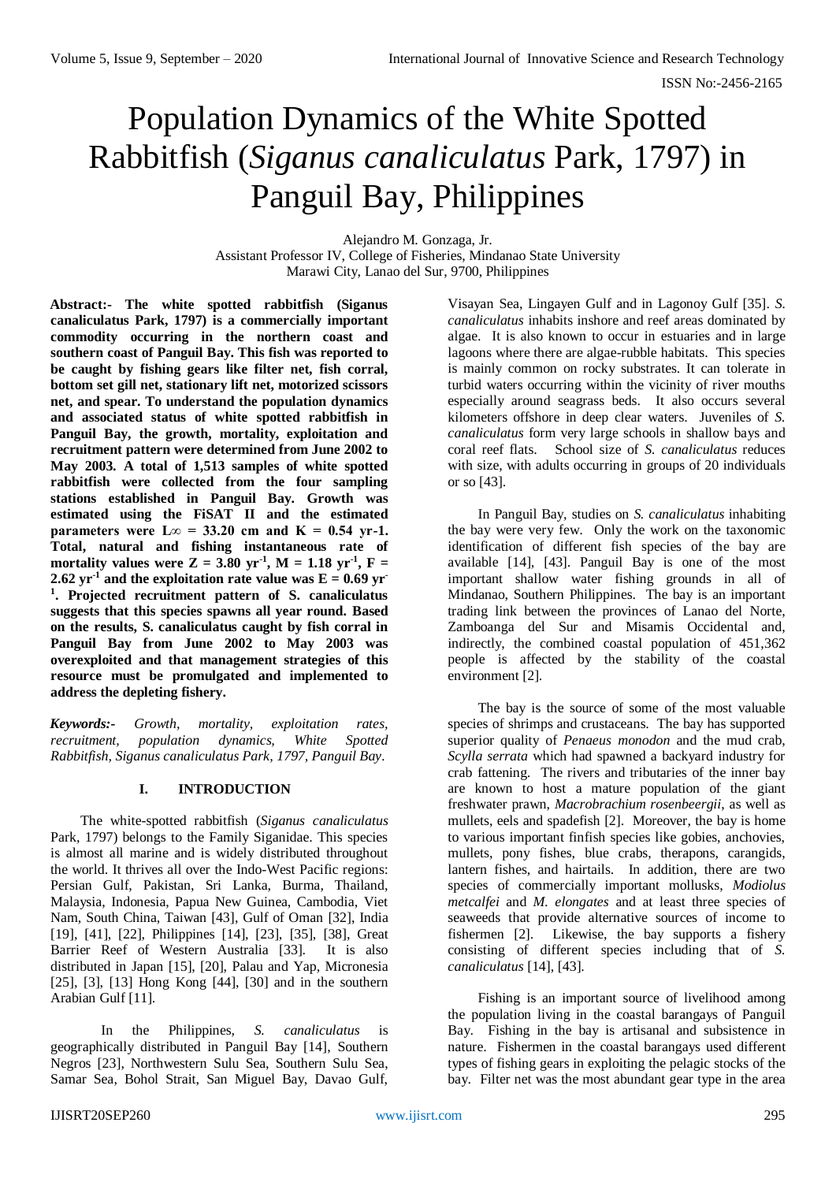# Population Dynamics of the White Spotted Rabbitfish (*Siganus canaliculatus* Park, 1797) in Panguil Bay, Philippines

Alejandro M. Gonzaga, Jr. Assistant Professor IV, College of Fisheries, Mindanao State University Marawi City, Lanao del Sur, 9700, Philippines

**Abstract:- The white spotted rabbitfish (Siganus canaliculatus Park, 1797) is a commercially important commodity occurring in the northern coast and southern coast of Panguil Bay. This fish was reported to be caught by fishing gears like filter net, fish corral, bottom set gill net, stationary lift net, motorized scissors net, and spear. To understand the population dynamics and associated status of white spotted rabbitfish in Panguil Bay, the growth, mortality, exploitation and recruitment pattern were determined from June 2002 to May 2003. A total of 1,513 samples of white spotted rabbitfish were collected from the four sampling stations established in Panguil Bay. Growth was estimated using the FiSAT II and the estimated parameters** were  $L\infty = 33.20$  cm and  $K = 0.54$  yr-1. **Total, natural and fishing instantaneous rate of mortality values were Z = 3.80 yr<sup>-1</sup>, M = 1.18 yr<sup>-1</sup>, F = 2.62**  $yr^{-1}$  and the exploitation rate value was  $E = 0.69$  yr **1 . Projected recruitment pattern of S. canaliculatus suggests that this species spawns all year round. Based on the results, S. canaliculatus caught by fish corral in Panguil Bay from June 2002 to May 2003 was overexploited and that management strategies of this resource must be promulgated and implemented to address the depleting fishery.** 

*Keywords:- Growth, mortality, exploitation rates, recruitment, population dynamics, White Spotted Rabbitfish, Siganus canaliculatus Park, 1797, Panguil Bay.*

# **I. INTRODUCTION**

The white-spotted rabbitfish (*Siganus canaliculatus*  Park, 1797) belongs to the Family Siganidae. This species is almost all marine and is widely distributed throughout the world. It thrives all over the Indo-West Pacific regions: Persian Gulf, Pakistan, Sri Lanka, Burma, Thailand, Malaysia, Indonesia, Papua New Guinea, Cambodia, Viet Nam, South China, Taiwan [43], Gulf of Oman [32], India [19], [41], [22], Philippines [14], [23], [35], [38], Great Barrier Reef of Western Australia [33]. It is also distributed in Japan [15], [20], Palau and Yap, Micronesia [25], [3], [13] Hong Kong [44], [30] and in the southern Arabian Gulf [11].

In the Philippines, *S. canaliculatus* is geographically distributed in Panguil Bay [14], Southern Negros [23], Northwestern Sulu Sea, Southern Sulu Sea, Samar Sea, Bohol Strait, San Miguel Bay, Davao Gulf,

Visayan Sea, Lingayen Gulf and in Lagonoy Gulf [35]. *S. canaliculatus* inhabits inshore and reef areas dominated by algae. It is also known to occur in estuaries and in large lagoons where there are algae-rubble habitats. This species is mainly common on rocky substrates. It can tolerate in turbid waters occurring within the vicinity of river mouths especially around seagrass beds. It also occurs several kilometers offshore in deep clear waters. Juveniles of *S. canaliculatus* form very large schools in shallow bays and coral reef flats. School size of *S. canaliculatus* reduces with size, with adults occurring in groups of 20 individuals or so [43].

In Panguil Bay, studies on *S. canaliculatus* inhabiting the bay were very few*.* Only the work on the taxonomic identification of different fish species of the bay are available [14], [43]. Panguil Bay is one of the most important shallow water fishing grounds in all of Mindanao, Southern Philippines. The bay is an important trading link between the provinces of Lanao del Norte, Zamboanga del Sur and Misamis Occidental and, indirectly, the combined coastal population of 451,362 people is affected by the stability of the coastal environment [2].

The bay is the source of some of the most valuable species of shrimps and crustaceans. The bay has supported superior quality of *Penaeus monodon* and the mud crab, *Scylla serrata* which had spawned a backyard industry for crab fattening. The rivers and tributaries of the inner bay are known to host a mature population of the giant freshwater prawn, *Macrobrachium rosenbeergii*, as well as mullets, eels and spadefish [2]. Moreover, the bay is home to various important finfish species like gobies, anchovies, mullets, pony fishes, blue crabs, therapons, carangids, lantern fishes, and hairtails. In addition, there are two species of commercially important mollusks, *Modiolus metcalfei* and *M. elongates* and at least three species of seaweeds that provide alternative sources of income to fishermen [2]. Likewise, the bay supports a fishery consisting of different species including that of *S. canaliculatus* [14], [43].

Fishing is an important source of livelihood among the population living in the coastal barangays of Panguil Bay. Fishing in the bay is artisanal and subsistence in nature. Fishermen in the coastal barangays used different types of fishing gears in exploiting the pelagic stocks of the bay. Filter net was the most abundant gear type in the area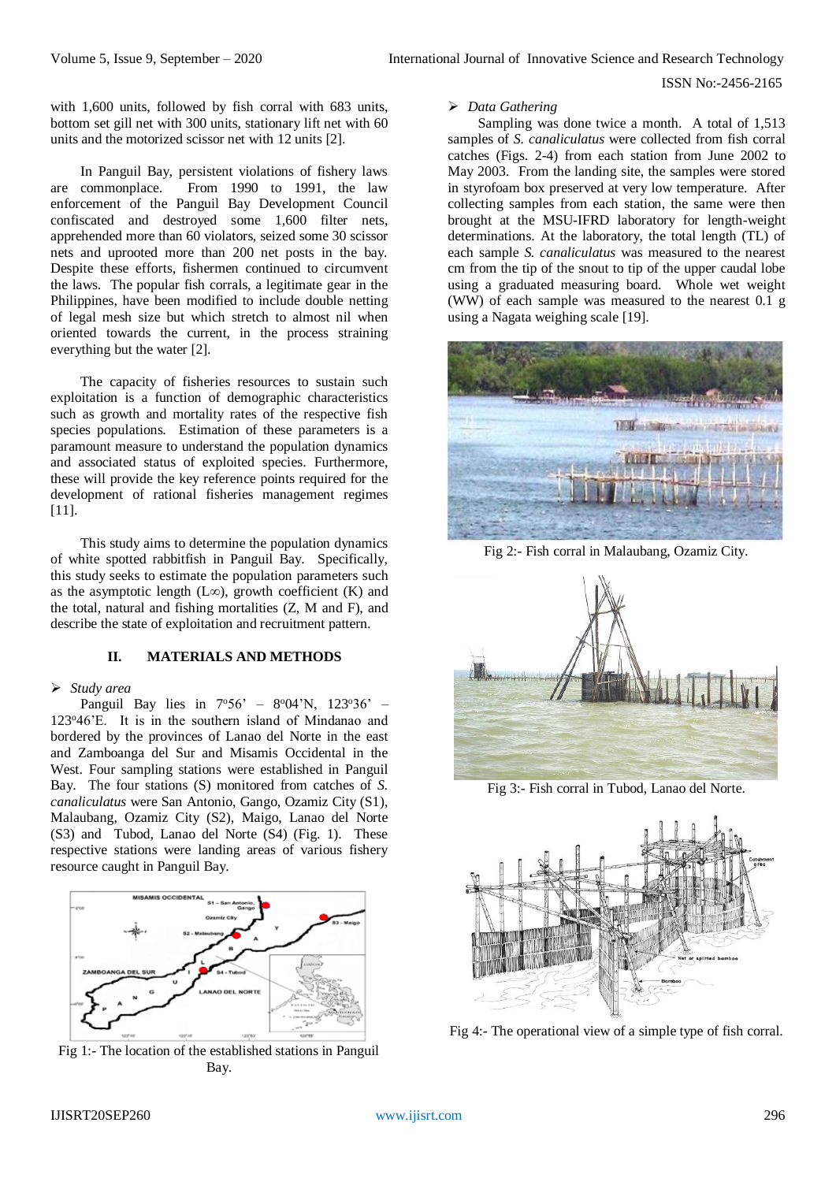with 1,600 units, followed by fish corral with 683 units, bottom set gill net with 300 units, stationary lift net with 60 units and the motorized scissor net with 12 units [2].

In Panguil Bay, persistent violations of fishery laws are commonplace. From 1990 to 1991, the law enforcement of the Panguil Bay Development Council confiscated and destroyed some 1,600 filter nets, apprehended more than 60 violators, seized some 30 scissor nets and uprooted more than 200 net posts in the bay. Despite these efforts, fishermen continued to circumvent the laws. The popular fish corrals, a legitimate gear in the Philippines, have been modified to include double netting of legal mesh size but which stretch to almost nil when oriented towards the current, in the process straining everything but the water [2].

The capacity of fisheries resources to sustain such exploitation is a function of demographic characteristics such as growth and mortality rates of the respective fish species populations. Estimation of these parameters is a paramount measure to understand the population dynamics and associated status of exploited species. Furthermore, these will provide the key reference points required for the development of rational fisheries management regimes [11].

This study aims to determine the population dynamics of white spotted rabbitfish in Panguil Bay. Specifically, this study seeks to estimate the population parameters such as the asymptotic length (L∞), growth coefficient (K) and the total, natural and fishing mortalities (Z, M and F), and describe the state of exploitation and recruitment pattern.

# **II. MATERIALS AND METHODS**

## *Study area*

Panguil Bay lies in  $7°56' - 8°04'N$ ,  $123°36' -$ 123<sup>o</sup>46'E. It is in the southern island of Mindanao and bordered by the provinces of Lanao del Norte in the east and Zamboanga del Sur and Misamis Occidental in the West. Four sampling stations were established in Panguil Bay. The four stations (S) monitored from catches of *S. canaliculatus* were San Antonio, Gango, Ozamiz City (S1), Malaubang, Ozamiz City (S2), Maigo, Lanao del Norte (S3) and Tubod, Lanao del Norte (S4) (Fig. 1). These respective stations were landing areas of various fishery resource caught in Panguil Bay.



Fig 1:- The location of the established stations in Panguil Bay.

#### *Data Gathering*

Sampling was done twice a month. A total of 1,513 samples of *S. canaliculatus* were collected from fish corral catches (Figs. 2-4) from each station from June 2002 to May 2003. From the landing site, the samples were stored in styrofoam box preserved at very low temperature. After collecting samples from each station, the same were then brought at the MSU-IFRD laboratory for length-weight determinations. At the laboratory, the total length (TL) of each sample *S. canaliculatus* was measured to the nearest cm from the tip of the snout to tip of the upper caudal lobe using a graduated measuring board. Whole wet weight (WW) of each sample was measured to the nearest 0.1 g using a Nagata weighing scale [19].



Fig 2:- Fish corral in Malaubang, Ozamiz City.



Fig 3:- Fish corral in Tubod, Lanao del Norte.



Fig 4:- The operational view of a simple type of fish corral.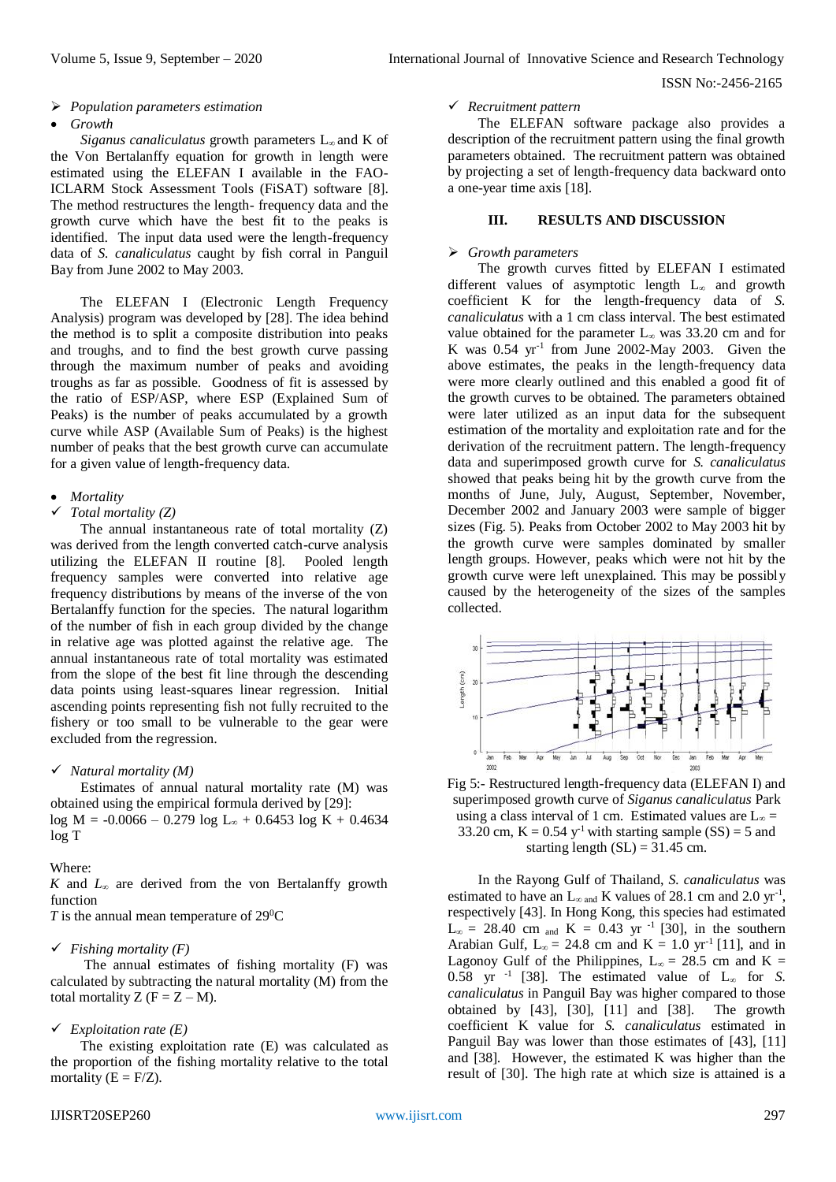#### *Population parameters estimation*

#### *Growth*

*Siganus canaliculatus* growth parameters L∞ and K of the Von Bertalanffy equation for growth in length were estimated using the ELEFAN I available in the FAO-ICLARM Stock Assessment Tools (FiSAT) software [8]. The method restructures the length- frequency data and the growth curve which have the best fit to the peaks is identified. The input data used were the length-frequency data of *S. canaliculatus* caught by fish corral in Panguil Bay from June 2002 to May 2003.

The ELEFAN I (Electronic Length Frequency Analysis) program was developed by [28]. The idea behind the method is to split a composite distribution into peaks and troughs, and to find the best growth curve passing through the maximum number of peaks and avoiding troughs as far as possible. Goodness of fit is assessed by the ratio of ESP/ASP, where ESP (Explained Sum of Peaks) is the number of peaks accumulated by a growth curve while ASP (Available Sum of Peaks) is the highest number of peaks that the best growth curve can accumulate for a given value of length-frequency data.

# *Mortality*

# *Total mortality (Z)*

The annual instantaneous rate of total mortality (Z) was derived from the length converted catch-curve analysis utilizing the ELEFAN II routine [8]. Pooled length frequency samples were converted into relative age frequency distributions by means of the inverse of the von Bertalanffy function for the species. The natural logarithm of the number of fish in each group divided by the change in relative age was plotted against the relative age. The annual instantaneous rate of total mortality was estimated from the slope of the best fit line through the descending data points using least-squares linear regression. Initial ascending points representing fish not fully recruited to the fishery or too small to be vulnerable to the gear were excluded from the regression.

## *Natural mortality (M)*

Estimates of annual natural mortality rate (M) was obtained using the empirical formula derived by [29]: log M =  $-0.0066 - 0.279$  log L<sub>∞</sub> + 0.6453 log K + 0.4634 log T

#### Where:

*K* and *L<sup>∞</sup>* are derived from the von Bertalanffy growth function

*T* is the annual mean temperature of 29<sup>0</sup>C

#### *Fishing mortality (F)*

The annual estimates of fishing mortality (F) was calculated by subtracting the natural mortality (M) from the total mortality Z  $(F = Z - M)$ .

## *Exploitation rate (E)*

The existing exploitation rate (E) was calculated as the proportion of the fishing mortality relative to the total mortality  $(E = F/Z)$ .

## *Recruitment pattern*

The ELEFAN software package also provides a description of the recruitment pattern using the final growth parameters obtained. The recruitment pattern was obtained by projecting a set of length-frequency data backward onto a one-year time axis [18].

#### **III. RESULTS AND DISCUSSION**

#### *Growth parameters*

The growth curves fitted by ELEFAN I estimated different values of asymptotic length L<sup>∞</sup> and growth coefficient K for the length-frequency data of *S. canaliculatus* with a 1 cm class interval. The best estimated value obtained for the parameter L<sup>∞</sup> was 33.20 cm and for K was  $0.54 \text{ yr}^{-1}$  from June 2002-May 2003. Given the above estimates, the peaks in the length-frequency data were more clearly outlined and this enabled a good fit of the growth curves to be obtained. The parameters obtained were later utilized as an input data for the subsequent estimation of the mortality and exploitation rate and for the derivation of the recruitment pattern. The length-frequency data and superimposed growth curve for *S. canaliculatus*  showed that peaks being hit by the growth curve from the months of June, July, August, September, November, December 2002 and January 2003 were sample of bigger sizes (Fig. 5). Peaks from October 2002 to May 2003 hit by the growth curve were samples dominated by smaller length groups. However, peaks which were not hit by the growth curve were left unexplained. This may be possibly caused by the heterogeneity of the sizes of the samples collected.



Fig 5:- Restructured length-frequency data (ELEFAN I) and superimposed growth curve of *Siganus canaliculatus* Park using a class interval of 1 cm. Estimated values are  $L_{\infty}$  = 33.20 cm,  $K = 0.54$  y<sup>-1</sup> with starting sample (SS) = 5 and starting length  $(SL) = 31.45$  cm.

In the Rayong Gulf of Thailand, *S. canaliculatus* was estimated to have an  $L_{\infty}$  and K values of 28.1 cm and 2.0 yr<sup>-1</sup>, respectively [43]. In Hong Kong, this species had estimated  $L_{\infty}$  = 28.40 cm and K = 0.43 yr<sup>-1</sup> [30], in the southern Arabian Gulf,  $L_{\infty} = 24.8$  cm and  $K = 1.0$  yr<sup>-1</sup> [11], and in Lagonov Gulf of the Philippines, L∞ = 28.5 cm and K = 0.58 yr<sup>-1</sup> [38]. The estimated value of  $L_{\infty}$  for *S*. *canaliculatus* in Panguil Bay was higher compared to those obtained by [43], [30], [11] and [38]. The growth coefficient K value for *S. canaliculatus* estimated in Panguil Bay was lower than those estimates of [43], [11] and [38]. However, the estimated K was higher than the result of [30]. The high rate at which size is attained is a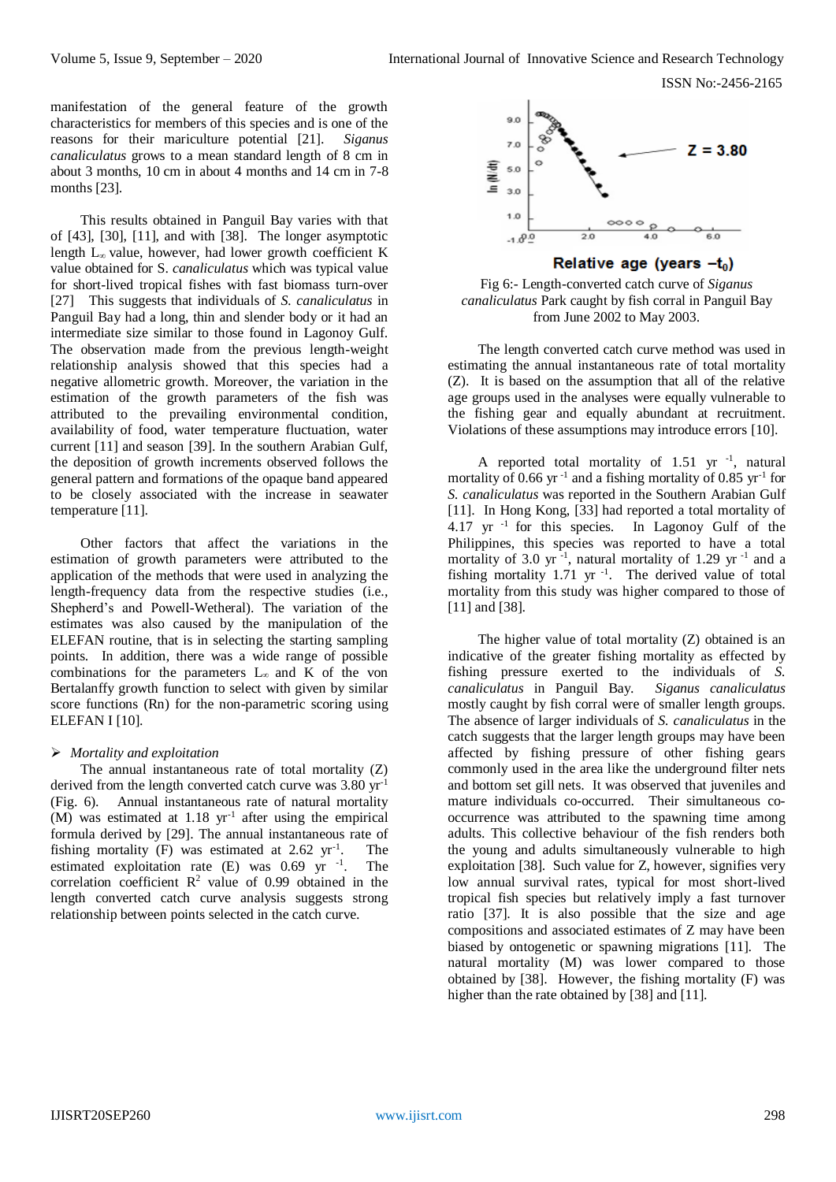ISSN No:-2456-2165

manifestation of the general feature of the growth characteristics for members of this species and is one of the reasons for their mariculture potential [21]. *Siganus canaliculatus* grows to a mean standard length of 8 cm in about 3 months, 10 cm in about 4 months and 14 cm in 7-8 months [23].

This results obtained in Panguil Bay varies with that of [43], [30], [11], and with [38]. The longer asymptotic length L∞ value, however, had lower growth coefficient K value obtained for S. *canaliculatus* which was typical value for short-lived tropical fishes with fast biomass turn-over [27] This suggests that individuals of *S. canaliculatus* in Panguil Bay had a long, thin and slender body or it had an intermediate size similar to those found in Lagonoy Gulf. The observation made from the previous length-weight relationship analysis showed that this species had a negative allometric growth. Moreover, the variation in the estimation of the growth parameters of the fish was attributed to the prevailing environmental condition, availability of food, water temperature fluctuation, water current [11] and season [39]. In the southern Arabian Gulf, the deposition of growth increments observed follows the general pattern and formations of the opaque band appeared to be closely associated with the increase in seawater temperature [11].

Other factors that affect the variations in the estimation of growth parameters were attributed to the application of the methods that were used in analyzing the length-frequency data from the respective studies (i.e., Shepherd's and Powell-Wetheral). The variation of the estimates was also caused by the manipulation of the ELEFAN routine, that is in selecting the starting sampling points. In addition, there was a wide range of possible combinations for the parameters  $L_{\infty}$  and K of the von Bertalanffy growth function to select with given by similar score functions (Rn) for the non-parametric scoring using ELEFAN I [10].

# *Mortality and exploitation*

The annual instantaneous rate of total mortality (Z) derived from the length converted catch curve was 3.80 yr-1 (Fig. 6). Annual instantaneous rate of natural mortality  $(M)$  was estimated at 1.18 yr<sup>-1</sup> after using the empirical formula derived by [29]. The annual instantaneous rate of fishing mortality (F) was estimated at  $2.62 \text{ yr}^{-1}$ . . The estimated exploitation rate  $(E)$  was 0.69 yr  $^{-1}$ . . The correlation coefficient  $R^2$  value of 0.99 obtained in the length converted catch curve analysis suggests strong relationship between points selected in the catch curve.



Relative age (years  $-t_0$ )

Fig 6:- Length-converted catch curve of *Siganus canaliculatus* Park caught by fish corral in Panguil Bay from June 2002 to May 2003.

The length converted catch curve method was used in estimating the annual instantaneous rate of total mortality (Z). It is based on the assumption that all of the relative age groups used in the analyses were equally vulnerable to the fishing gear and equally abundant at recruitment. Violations of these assumptions may introduce errors [10].

A reported total mortality of  $1.51$  yr<sup>-1</sup>, natural mortality of 0.66 yr<sup>-1</sup> and a fishing mortality of 0.85 yr<sup>-1</sup> for *S. canaliculatus* was reported in the Southern Arabian Gulf [11]. In Hong Kong, [33] had reported a total mortality of 4.17 yr  $^{-1}$  for this species. In Lagonoy Gulf of the Philippines, this species was reported to have a total mortality of 3.0 yr<sup>-1</sup>, natural mortality of 1.29 yr<sup>-1</sup> and a fishing mortality  $1.71$  yr<sup>-1</sup>. The derived value of total mortality from this study was higher compared to those of [11] and [38].

The higher value of total mortality (Z) obtained is an indicative of the greater fishing mortality as effected by fishing pressure exerted to the individuals of *S. canaliculatus* in Panguil Bay. *Siganus canaliculatus* mostly caught by fish corral were of smaller length groups. The absence of larger individuals of *S. canaliculatus* in the catch suggests that the larger length groups may have been affected by fishing pressure of other fishing gears commonly used in the area like the underground filter nets and bottom set gill nets. It was observed that juveniles and mature individuals co-occurred. Their simultaneous cooccurrence was attributed to the spawning time among adults. This collective behaviour of the fish renders both the young and adults simultaneously vulnerable to high exploitation [38]. Such value for Z, however, signifies very low annual survival rates, typical for most short-lived tropical fish species but relatively imply a fast turnover ratio [37]. It is also possible that the size and age compositions and associated estimates of Z may have been biased by ontogenetic or spawning migrations [11]. The natural mortality (M) was lower compared to those obtained by [38]. However, the fishing mortality (F) was higher than the rate obtained by [38] and [11].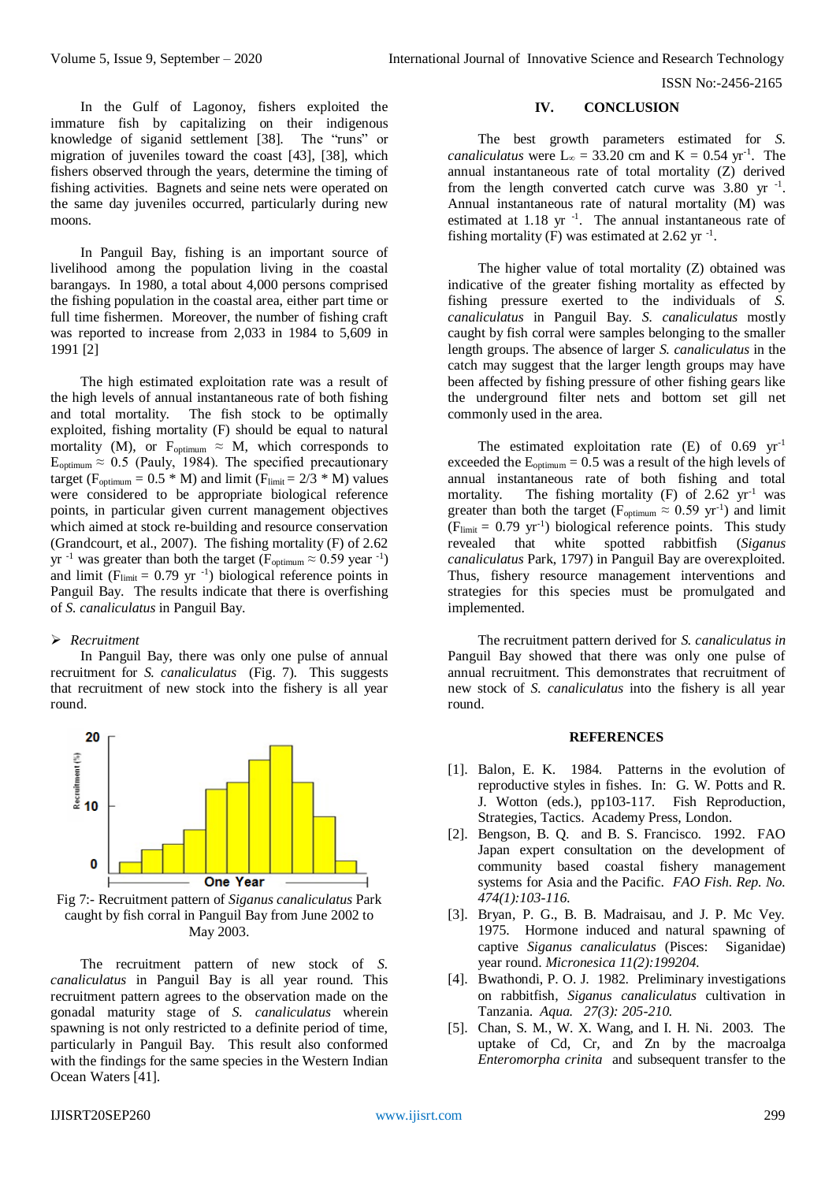In the Gulf of Lagonoy, fishers exploited the immature fish by capitalizing on their indigenous knowledge of siganid settlement [38]. The "runs" or migration of juveniles toward the coast [43], [38], which fishers observed through the years, determine the timing of fishing activities. Bagnets and seine nets were operated on the same day juveniles occurred, particularly during new moons.

In Panguil Bay, fishing is an important source of livelihood among the population living in the coastal barangays. In 1980, a total about 4,000 persons comprised the fishing population in the coastal area, either part time or full time fishermen. Moreover, the number of fishing craft was reported to increase from 2,033 in 1984 to 5,609 in 1991 [2]

The high estimated exploitation rate was a result of the high levels of annual instantaneous rate of both fishing and total mortality. The fish stock to be optimally exploited, fishing mortality (F) should be equal to natural mortality (M), or  $F_{\text{optimum}} \approx M$ , which corresponds to  $E_{\text{optimum}} \approx 0.5$  (Pauly, 1984). The specified precautionary target ( $F_{\text{optimum}} = 0.5 * M$ ) and limit ( $F_{\text{limit}} = 2/3 * M$ ) values were considered to be appropriate biological reference points, in particular given current management objectives which aimed at stock re-building and resource conservation (Grandcourt, et al., 2007). The fishing mortality (F) of 2.62 yr<sup>-1</sup> was greater than both the target ( $F_{\text{optimum}} \approx 0.59$  year<sup>-1</sup>) and limit ( $F_{limit} = 0.79$  yr<sup>-1</sup>) biological reference points in Panguil Bay. The results indicate that there is overfishing of *S. canaliculatus* in Panguil Bay.

# *Recruitment*

In Panguil Bay, there was only one pulse of annual recruitment for *S. canaliculatus* (Fig. 7). This suggests that recruitment of new stock into the fishery is all year round.



Fig 7:- Recruitment pattern of *Siganus canaliculatus* Park caught by fish corral in Panguil Bay from June 2002 to May 2003.

The recruitment pattern of new stock of *S. canaliculatus* in Panguil Bay is all year round. This recruitment pattern agrees to the observation made on the gonadal maturity stage of *S. canaliculatus* wherein spawning is not only restricted to a definite period of time, particularly in Panguil Bay. This result also conformed with the findings for the same species in the Western Indian Ocean Waters [41].

# **IV. CONCLUSION**

The best growth parameters estimated for *S. canaliculatus* were  $L_{\infty} = 33.20$  cm and  $K = 0.54$  yr<sup>-1</sup>. The annual instantaneous rate of total mortality (Z) derived from the length converted catch curve was  $3.80 \text{ yr}^{-1}$ . Annual instantaneous rate of natural mortality (M) was estimated at  $1.18$  yr  $^{-1}$ . The annual instantaneous rate of fishing mortality (F) was estimated at 2.62 yr $^{-1}$ .

The higher value of total mortality (Z) obtained was indicative of the greater fishing mortality as effected by fishing pressure exerted to the individuals of *S. canaliculatus* in Panguil Bay. *S. canaliculatus* mostly caught by fish corral were samples belonging to the smaller length groups. The absence of larger *S. canaliculatus* in the catch may suggest that the larger length groups may have been affected by fishing pressure of other fishing gears like the underground filter nets and bottom set gill net commonly used in the area.

The estimated exploitation rate  $(E)$  of 0.69 yr<sup>-1</sup> exceeded the  $E_{\text{optimum}} = 0.5$  was a result of the high levels of annual instantaneous rate of both fishing and total mortality. The fishing mortality  $(F)$  of 2.62 yr<sup>-1</sup> was greater than both the target ( $F_{\text{optimum}} \approx 0.59 \text{ yr}^{-1}$ ) and limit  $(F_{\text{limit}} = 0.79 \text{ yr}^{-1})$  biological reference points. This study revealed that white spotted rabbitfish (*Siganus canaliculatus* Park, 1797) in Panguil Bay are overexploited. Thus, fishery resource management interventions and strategies for this species must be promulgated and implemented.

The recruitment pattern derived for *S. canaliculatus in* Panguil Bay showed that there was only one pulse of annual recruitment. This demonstrates that recruitment of new stock of *S. canaliculatus* into the fishery is all year round.

#### **REFERENCES**

- [1]. Balon, E. K. 1984. Patterns in the evolution of reproductive styles in fishes. In: G. W. Potts and R. J. Wotton (eds.), pp103-117. Fish Reproduction, Strategies, Tactics. Academy Press, London*.*
- [2]. Bengson, B. Q. and B. S. Francisco. 1992. FAO Japan expert consultation on the development of community based coastal fishery management systems for Asia and the Pacific. *FAO Fish. Rep. No. 474(1):103-116.*
- [3]. Bryan, P. G., B. B. Madraisau, and J. P. Mc Vey. 1975. Hormone induced and natural spawning of captive *Siganus canaliculatus* (Pisces: Siganidae) year round. *Micronesica 11(2):199204.*
- [4]. Bwathondi, P. O. J. 1982. Preliminary investigations on rabbitfish, *Siganus canaliculatus* cultivation in Tanzania. *Aqua. 27(3): 205-210.*
- [5]. Chan, S. M., W. X. Wang, and I. H. Ni. 2003. The uptake of Cd, Cr, and Zn by the macroalga *Enteromorpha crinita* and subsequent transfer to the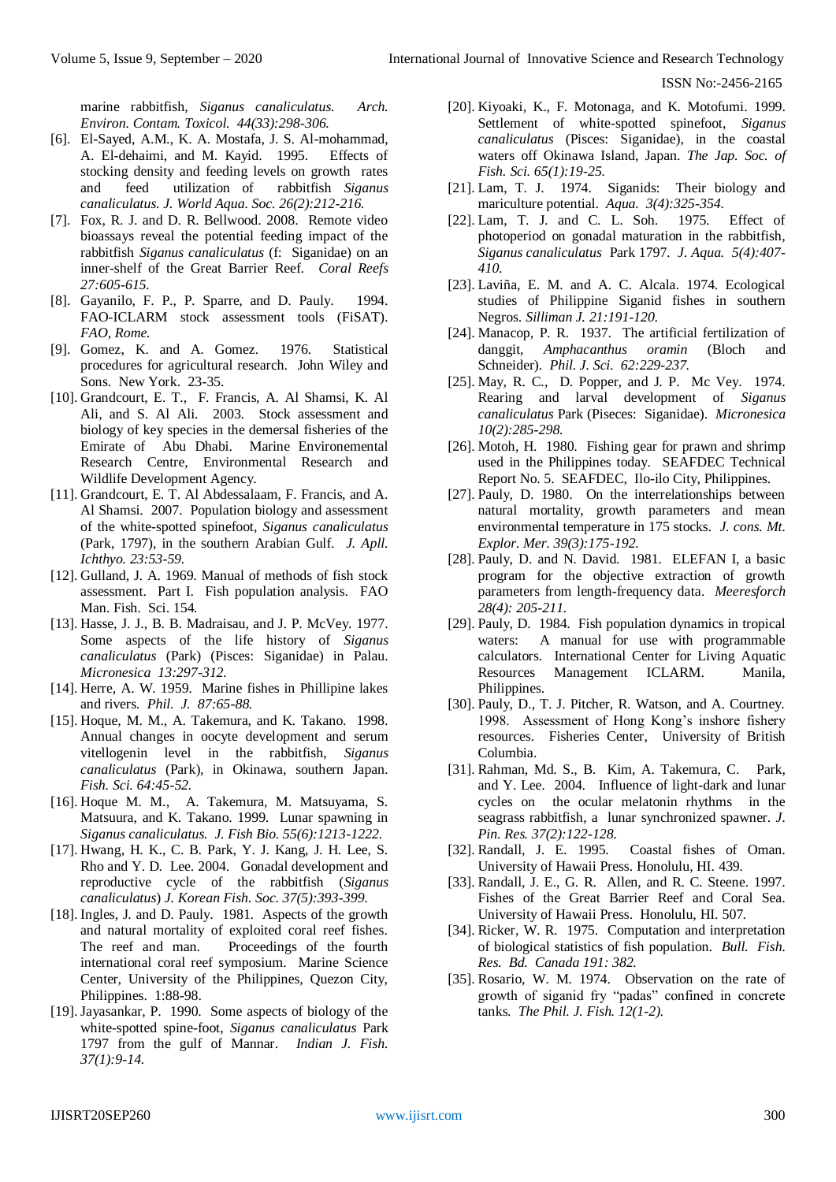marine rabbitfish, *Siganus canaliculatus. Arch. Environ. Contam. Toxicol. 44(33):298-306.* 

- [6]. El-Sayed, A.M., K. A. Mostafa, J. S. Al-mohammad, A. El-dehaimi, and M. Kayid. 1995. Effects of stocking density and feeding levels on growth rates and feed utilization of rabbitfish *Siganus canaliculatus. J. World Aqua. Soc. 26(2):212-216.*
- [7]. Fox, R. J. and D. R. Bellwood. 2008. Remote video bioassays reveal the potential feeding impact of the rabbitfish *Siganus canaliculatus* (f: Siganidae) on an inner-shelf of the Great Barrier Reef. *Coral Reefs 27:605-615.*
- [8]. Gayanilo, F. P., P. Sparre, and D. Pauly. 1994. FAO-ICLARM stock assessment tools (FiSAT). *FAO, Rome.*
- [9]. Gomez, K. and A. Gomez. 1976. Statistical procedures for agricultural research. John Wiley and Sons. New York. 23-35.
- [10]. Grandcourt, E. T., F. Francis, A. Al Shamsi, K. Al Ali, and S. Al Ali. 2003. Stock assessment and biology of key species in the demersal fisheries of the Emirate of Abu Dhabi. Marine Environemental Research Centre, Environmental Research and Wildlife Development Agency.
- [11]. Grandcourt, E. T. Al Abdessalaam, F. Francis, and A. Al Shamsi. 2007. Population biology and assessment of the white-spotted spinefoot, *Siganus canaliculatus*  (Park, 1797), in the southern Arabian Gulf*. J. Apll. Ichthyo. 23:53-59.*
- [12]. Gulland, J. A. 1969. Manual of methods of fish stock assessment. Part I. Fish population analysis. FAO Man. Fish. Sci. 154*.*
- [13]. Hasse, J. J., B. B. Madraisau, and J. P. McVey. 1977. Some aspects of the life history of *Siganus canaliculatus* (Park) (Pisces: Siganidae) in Palau. *Micronesica 13:297-312.*
- [14]. Herre, A. W. 1959. Marine fishes in Phillipine lakes and rivers*. Phil. J. 87:65-88.*
- [15]. Hoque, M. M., A. Takemura, and K. Takano. 1998. Annual changes in oocyte development and serum vitellogenin level in the rabbitfish, *Siganus canaliculatus* (Park), in Okinawa, southern Japan. *Fish. Sci. 64:45-52.*
- [16]. Hoque M. M., A. Takemura, M. Matsuyama, S. Matsuura, and K. Takano. 1999. Lunar spawning in *Siganus canaliculatus. J. Fish Bio. 55(6):1213-1222.*
- [17]. Hwang, H. K., C. B. Park, Y. J. Kang, J. H. Lee, S. Rho and Y. D. Lee. 2004. Gonadal development and reproductive cycle of the rabbitfish (*Siganus canaliculatus*) *J. Korean Fish. Soc. 37(5):393-399.*
- [18]. Ingles, J. and D. Pauly. 1981. Aspects of the growth and natural mortality of exploited coral reef fishes. The reef and man. Proceedings of the fourth international coral reef symposium. Marine Science Center, University of the Philippines, Quezon City, Philippines. 1:88-98.
- [19]. Jayasankar, P. 1990. Some aspects of biology of the white-spotted spine-foot, *Siganus canaliculatus* Park 1797 from the gulf of Mannar. *Indian J. Fish. 37(1):9-14.*
- [20]. Kiyoaki, K., F. Motonaga, and K. Motofumi. 1999. Settlement of white-spotted spinefoot, *Siganus canaliculatus* (Pisces: Siganidae), in the coastal waters off Okinawa Island, Japan. *The Jap. Soc. of Fish. Sci. 65(1):19-25.*
- [21]. Lam, T. J. 1974. Siganids: Their biology and mariculture potential. *Aqua. 3(4):325-354.*
- [22]. Lam, T. J. and C. L. Soh. 1975. Effect of photoperiod on gonadal maturation in the rabbitfish, *Siganus canaliculatus* Park 1797*. J. Aqua. 5(4):407- 410.*
- [23]. Laviña, E. M. and A. C. Alcala. 1974. Ecological studies of Philippine Siganid fishes in southern Negros. *Silliman J. 21:191-120.*
- [24]. Manacop, P. R. 1937. The artificial fertilization of danggit, *Amphacanthus oramin* (Bloch and Schneider). *Phil. J. Sci. 62:229-237.*
- [25]. May, R. C., D. Popper, and J. P. Mc Vey. 1974. Rearing and larval development of *Siganus canaliculatus* Park (Piseces: Siganidae). *Micronesica 10(2):285-298.*
- [26]. Motoh, H. 1980. Fishing gear for prawn and shrimp used in the Philippines today. SEAFDEC Technical Report No. 5. SEAFDEC, Ilo-ilo City, Philippines.
- [27]. Pauly, D. 1980. On the interrelationships between natural mortality, growth parameters and mean environmental temperature in 175 stocks. *J. cons. Mt. Explor. Mer. 39(3):175-192.*
- [28]. Pauly, D. and N. David. 1981. ELEFAN I, a basic program for the objective extraction of growth parameters from length-frequency data. *Meeresforch 28(4): 205-211.*
- [29]. Pauly, D. 1984. Fish population dynamics in tropical waters: A manual for use with programmable calculators. International Center for Living Aquatic Resources Management ICLARM. Manila, Philippines.
- [30]. Pauly, D., T. J. Pitcher, R. Watson, and A. Courtney. 1998. Assessment of Hong Kong's inshore fishery resources. Fisheries Center, University of British Columbia.
- [31]. Rahman, Md. S., B. Kim, A. Takemura, C. Park, and Y. Lee. 2004. Influence of light-dark and lunar cycles on the ocular melatonin rhythms in the seagrass rabbitfish, a lunar synchronized spawner. *J. Pin. Res. 37(2):122-128.*
- [32]. Randall, J. E. 1995. Coastal fishes of Oman. University of Hawaii Press. Honolulu, HI*.* 439*.*
- [33]. Randall, J. E., G. R. Allen, and R. C. Steene. 1997. Fishes of the Great Barrier Reef and Coral Sea. University of Hawaii Press. Honolulu, HI. 507*.*
- [34]. Ricker, W. R. 1975. Computation and interpretation of biological statistics of fish population. *Bull. Fish. Res. Bd. Canada 191: 382.*
- [35]. Rosario, W. M. 1974. Observation on the rate of growth of siganid fry "padas" confined in concrete tanks. *The Phil. J. Fish. 12(1-2).*